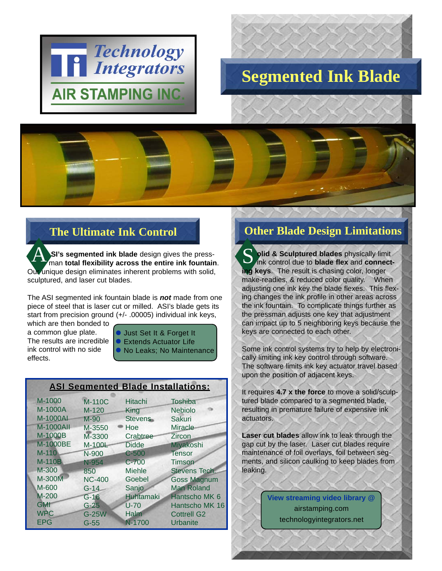

## **Segmented Ink Blade**

## **The Ultimate Ink Control**

**SI's segmented ink blade** design gives the pressman **total flexibility across the entire ink fountain**. Our unique design eliminates inherent problems with solid, sculptured, and laser cut blades. A

The ASI segmented ink fountain blade is *not* made from one piece of steel that is laser cut or milled. ASI's blade gets its start from precision ground (+/- .00005) individual ink keys,

which are then bonded to a common glue plate. The results are incredible ink control with no side effects.

- **Just Set It & Forget It**
- Extends Actuator Life
- No Leaks; No Maintenance

| <b>ASI Segmented Blade Installations:</b> |               |                  |                      |
|-------------------------------------------|---------------|------------------|----------------------|
| M-1000                                    | <b>M-110C</b> | Hitachi          | <b>Toshiba</b>       |
| M-1000A                                   | $M-120$       | King             | <b>Nebiolo</b>       |
| M-1000AI                                  | M-90          | <b>Stevens</b>   | Sakuri               |
| <b>M-1000AII</b>                          | M-3550        | Hoe              | <b>Miracle</b>       |
| M-1000B                                   | M-3300        | Crabtree         | Zircon               |
| M-1000BE                                  | M-100L        | <b>Didde</b>     | Miyakoshi            |
| $M-110$                                   | N-900         | $C-500$          | Tensor               |
| <b>M-110B</b>                             | N-954         | $C - 700$        | Timson               |
| M-300                                     | 850           | <b>Miehle</b>    | <b>Stevens Tech.</b> |
| M-300M                                    | <b>NC-400</b> | Goebel           | <b>Goss Magnum</b>   |
| M-600                                     | $G-14$        | Sanjo            | <b>Man Roland</b>    |
| $M-200$                                   | $G-16$        | <b>Huhtamaki</b> | Hantscho MK 6        |
| <b>GMI</b>                                | $G-25$        | $U-70$           | Hantscho MK 16       |
| <b>WPC</b>                                | G-25W         | Halm             | <b>Cottrell G2</b>   |
| <b>EPG</b>                                | $G-55$        | N-1700           | Urbanite             |

## **Other Blade Design Limitations**

**olid & Sculptured blades** physically limit ink control due to **blade flex** and **connecting keys**. The result is chasing color, longer make-readies, & reduced color quality. When adjusting one ink key the blade flexes. This flexing changes the ink profile in other areas across the ink fountain. To complicate things further as the pressman adjusts one key that adjustment can impact up to 5 neighboring keys because the keys are connected to each other. S

Some ink control systems try to help by electronically limiting ink key control through software. The software limits ink key actuator travel based upon the position of adjacent keys.

It requires **4.7 x the force** to move a solid/sculptured blade compared to a segmented blade, resulting in premature failure of expensive ink actuators.

**Laser cut blades** allow ink to leak through the gap cut by the laser. Laser cut blades require maintenance of foil overlays, foil between segments, and silicon caulking to keep blades from leaking.

> **View streaming video library @** technologyintegrators.net airstamping.com